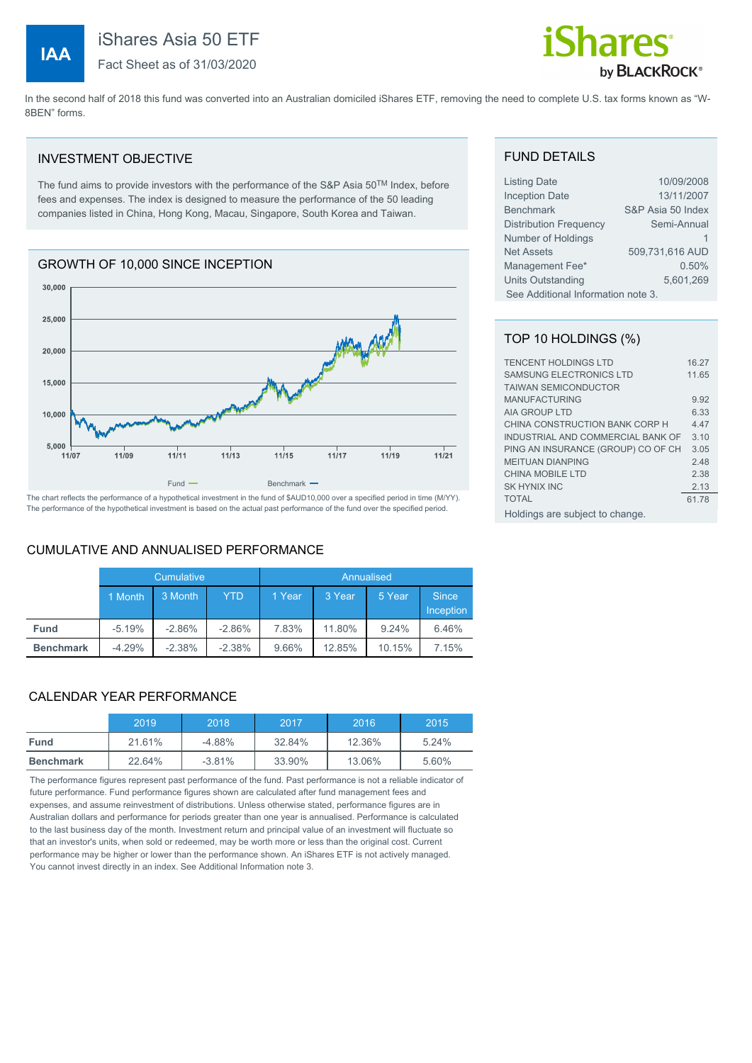**IAA**



In the second half of 2018 this fund was converted into an Australian domiciled iShares ETF, removing the need to complete U.S. tax forms known as "W-8BEN" forms.

#### INVESTMENT OBJECTIVE

The fund aims to provide investors with the performance of the S&P Asia 50TM Index, before fees and expenses. The index is designed to measure the performance of the 50 leading companies listed in China, Hong Kong, Macau, Singapore, South Korea and Taiwan.

# GROWTH OF 10,000 SINCE INCEPTION



The chart reflects the performance of a hypothetical investment in the fund of \$AUD10,000 over a specified period in time (M/YY). The performance of the hypothetical investment is based on the actual past performance of the fund over the specified period.

#### CUMULATIVE AND ANNUALISED PERFORMANCE

|                  | Cumulative |          |          | Annualised |        |        |                           |
|------------------|------------|----------|----------|------------|--------|--------|---------------------------|
|                  | 1 Month    | 3 Month  | YTD      | 1 Year     | 3 Year | 5 Year | <b>Since</b><br>Inception |
| <b>Fund</b>      | $-5.19%$   | $-2.86%$ | $-2.86%$ | 7.83%      | 11.80% | 9.24%  | 6.46%                     |
| <b>Benchmark</b> | $-4.29%$   | $-2.38%$ | $-2.38%$ | 9.66%      | 12.85% | 10.15% | 7.15%                     |
|                  |            |          |          |            |        |        |                           |

#### CALENDAR YEAR PERFORMANCE

|                  | 2019   | 2018     | 2017   | 2016   | 2015  |
|------------------|--------|----------|--------|--------|-------|
| <b>Fund</b>      | 21.61% | $-4.88%$ | 32.84% | 12.36% | 5.24% |
| <b>Benchmark</b> | 22.64% | $-3.81%$ | 33.90% | 13.06% | 5.60% |

The performance figures represent past performance of the fund. Past performance is not a reliable indicator of future performance. Fund performance figures shown are calculated after fund management fees and expenses, and assume reinvestment of distributions. Unless otherwise stated, performance figures are in Australian dollars and performance for periods greater than one year is annualised. Performance is calculated to the last business day of the month. Investment return and principal value of an investment will fluctuate so that an investor's units, when sold or redeemed, may be worth more or less than the original cost. Current performance may be higher or lower than the performance shown. An iShares ETF is not actively managed. You cannot invest directly in an index. See Additional Information note 3.

#### FUND DETAILS

| <b>Listing Date</b>                | 10/09/2008        |  |
|------------------------------------|-------------------|--|
| <b>Inception Date</b>              | 13/11/2007        |  |
| <b>Benchmark</b>                   | S&P Asia 50 Index |  |
| <b>Distribution Frequency</b>      | Semi-Annual       |  |
| Number of Holdings                 |                   |  |
| <b>Net Assets</b>                  | 509,731,616 AUD   |  |
| Management Fee*                    | 0.50%             |  |
| <b>Units Outstanding</b>           | 5,601,269         |  |
| See Additional Information note 3. |                   |  |

#### TOP 10 HOLDINGS (%)

| <b>TENCENT HOLDINGS LTD</b>        | 16.27 |
|------------------------------------|-------|
| <b>SAMSUNG ELECTRONICS LTD</b>     | 11.65 |
| <b>TAIWAN SEMICONDUCTOR</b>        |       |
| <b>MANUFACTURING</b>               | 9.92  |
| AIA GROUP LTD                      | 6.33  |
| CHINA CONSTRUCTION BANK CORP H     | 4.47  |
| INDUSTRIAL AND COMMERCIAL BANK OF  | 310   |
| PING AN INSURANCE (GROUP) CO OF CH | 3.05  |
| <b>MEITUAN DIANPING</b>            | 2.48  |
| CHINA MOBILE LTD                   | 2.38  |
| SK HYNIX INC                       | 2.13  |
| <b>TOTAL</b>                       | 61.78 |
| Holdings are subject to change.    |       |